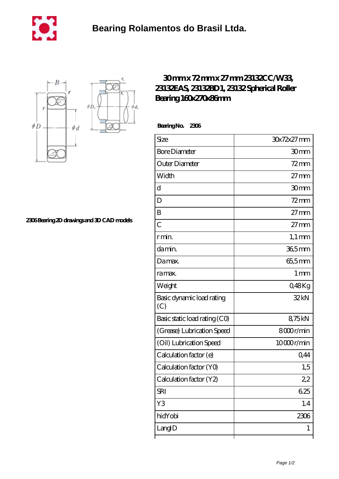



**[2306 Bearing 2D drawings and 3D CAD models](https://m.cityofwaverly.org/pic-466783.html)**

## **[30 mm x 72 mm x 27 mm 23132CC/W33,](https://m.cityofwaverly.org/bz-466783-23132cc-w33-23132eas-23132bd1-23132-spherical-roller-bearing-160x270x86mm.html) [23132EAS, 23132BD1, 23132 Spherical Roller](https://m.cityofwaverly.org/bz-466783-23132cc-w33-23132eas-23132bd1-23132-spherical-roller-bearing-160x270x86mm.html) [Bearing 160x270x86mm](https://m.cityofwaverly.org/bz-466783-23132cc-w33-23132eas-23132bd1-23132-spherical-roller-bearing-160x270x86mm.html)**

 **Bearing No. 2306**

| Size                             | 30x72x27 mm      |
|----------------------------------|------------------|
| <b>Bore Diameter</b>             | 30mm             |
| Outer Diameter                   | $72$ mm          |
| Width                            | $27 \text{mm}$   |
| d                                | 30mm             |
| D                                | $72$ mm          |
| B                                | $27 \text{mm}$   |
| $\overline{C}$                   | $27 \text{mm}$   |
| r min.                           | $1,1 \text{ mm}$ |
| da min.                          | $365$ mm         |
| Damax.                           | 65,5mm           |
| ra max.                          | 1 <sub>mm</sub>  |
| Weight                           | Q48Kg            |
| Basic dynamic load rating<br>(C) | 32kN             |
| Basic static load rating (CO)    | 875kN            |
| (Grease) Lubrication Speed       | 8000r/min        |
| (Oil) Lubrication Speed          | 10000r/min       |
| Calculation factor (e)           | 0,44             |
| Calculation factor (YO)          | 1,5              |
| Calculation factor (Y2)          | 2,2              |
| <b>SRI</b>                       | 625              |
| Y3                               | 1.4              |
| hidYobi                          | 2306             |
| LangID                           | 1                |
|                                  |                  |